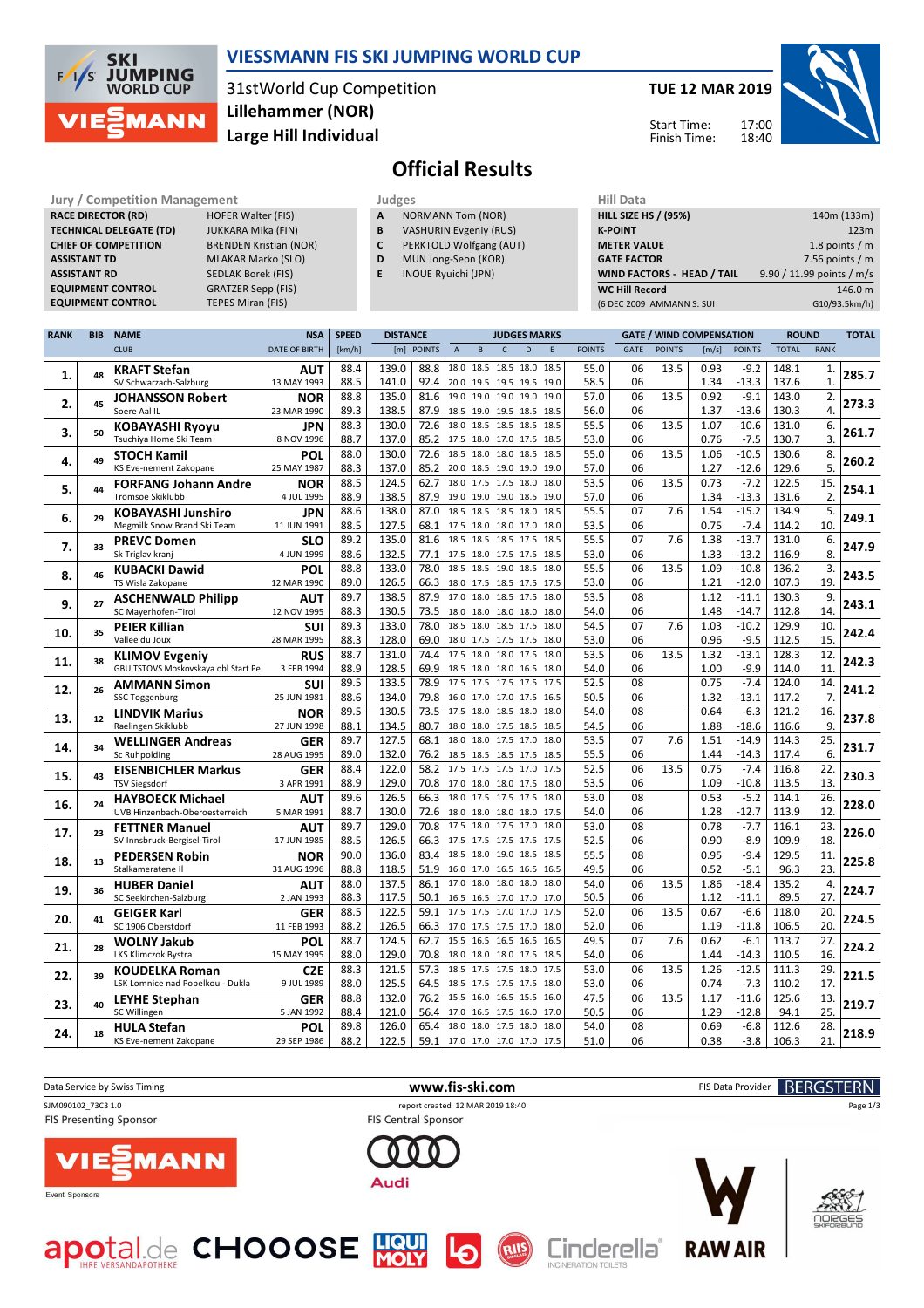

### **VIESSMANN FIS SKI JUMPING WORLD CUP**

31stWorld Cup Competition **Large Hill Individual Lillehammer (NOR)**

#### **TUE 12 MAR 2019**

Start Time: Finish Time:



# **Official Results**

**Jury / Competition Management Judges Hill Data RACE DIRECTOR (RD) HOFER Walter (FIS) TECHNICAL DELEGATE (TD)** JUKKARA Mika (FIN) **CHIEF OF COMPETITION** BRENDEN Kristian (NOR) **ASSISTANT TD** MLAKAR Marko (SLO) **ASSISTANT RD** SEDLAK Borek (FIS)<br>**EQUIPMENT CONTROL** GRATZER Sepp (FIS) **EQUIPMENT CONTROL** 

**EQUIPMENT CONTROL TEPES Miran (FIS)** 

| Judges |                          |
|--------|--------------------------|
| A      | <b>NORMANN Tom (NOR)</b> |

- **B** VASHURIN Evgeniy (RUS)
- **C** PERKTOLD Wolfgang (AUT)
- **D** MUN Jong-Seon (KOR)
- **E** INOUE Ryuichi (JPN)

| 140m (133m)               |
|---------------------------|
| 123m                      |
| 1.8 points $/m$           |
| 7.56 points $/m$          |
| 9.90 / 11.99 points / m/s |
| 146.0 m                   |
| G10/93.5km/h)             |
|                           |

| <b>RANK</b> | <b>BIB</b> | <b>NAME</b>                                      | <b>NSA</b>                | <b>SPEED</b> | <b>DISTANCE</b> |              |                                                 |                |              | <b>JUDGES MARKS</b> |      |               | <b>GATE / WIND COMPENSATION</b> |               |              | <b>ROUND</b>       |                | <b>TOTAL</b> |       |
|-------------|------------|--------------------------------------------------|---------------------------|--------------|-----------------|--------------|-------------------------------------------------|----------------|--------------|---------------------|------|---------------|---------------------------------|---------------|--------------|--------------------|----------------|--------------|-------|
|             |            | <b>CLUB</b>                                      | <b>DATE OF BIRTH</b>      | [km/h]       |                 | [m] POINTS   | $\overline{A}$                                  | $\mathsf{B}$   | $\mathsf{C}$ | D                   | E    | <b>POINTS</b> | <b>GATE</b>                     | <b>POINTS</b> | [m/s]        | <b>POINTS</b>      | <b>TOTAL</b>   | <b>RANK</b>  |       |
|             |            | <b>KRAFT Stefan</b>                              | <b>AUT</b>                | 88.4         | 139.0           | 88.8         | 18.0 18.5 18.5 18.0                             |                |              |                     | 18.5 | 55.0          | 06                              | 13.5          | 0.93         | $-9.2$             | 148.1          | 1.           |       |
| 1.          | 48         | SV Schwarzach-Salzburg                           | 13 MAY 1993               | 88.5         | 141.0           | 92.4         | 20.0 19.5 19.5 19.5 19.0                        |                |              |                     |      | 58.5          | 06                              |               | 1.34         | $-13.3$            | 137.6          | $\mathbf{1}$ | 285.7 |
|             |            | <b>JOHANSSON Robert</b>                          | <b>NOR</b>                | 88.8         | 135.0           | 81.6         | 19.0 19.0 19.0 19.0                             |                |              |                     | 19.0 | 57.0          | 06                              | 13.5          | 0.92         | $-9.1$             | 143.0          | 2.           |       |
| 2.          | 45         | Soere Aal IL                                     | 23 MAR 1990               | 89.3         | 138.5           | 87.9         | 18.5 19.0 19.5 18.5 18.5                        |                |              |                     |      | 56.0          | 06                              |               | 1.37         | $-13.6$            | 130.3          | 4.           | 273.3 |
| 3.          | 50         | <b>KOBAYASHI Ryoyu</b>                           | <b>JPN</b>                | 88.3         | 130.0           | 72.6         | 18.0 18.5 18.5 18.5 18.5                        |                |              |                     |      | 55.5          | 06                              | 13.5          | 1.07         | $-10.6$            | 131.0          | 6.           | 261.7 |
|             |            | Tsuchiya Home Ski Team                           | 8 NOV 1996                | 88.7         | 137.0           | 85.2         | 17.5 18.0 17.0 17.5 18.5                        |                |              |                     |      | 53.0          | 06                              |               | 0.76         | $-7.5$             | 130.7          | 3.           |       |
| 4.          | 49         | <b>STOCH Kamil</b>                               | <b>POL</b>                | 88.0         | 130.0           | 72.6         | 18.5 18.0 18.0 18.5                             |                |              |                     | 18.5 | 55.0          | 06                              | 13.5          | 1.06         | $-10.5$            | 130.6          | 8.           | 260.2 |
|             |            | KS Eve-nement Zakopane                           | 25 MAY 1987               | 88.3         | 137.0           | 85.2         | 20.0 18.5 19.0 19.0 19.0                        |                |              |                     |      | 57.0          | 06                              |               | 1.27         | $-12.6$            | 129.6          | 5.           |       |
| 5.          | 44         | <b>FORFANG Johann Andre</b>                      | <b>NOR</b>                | 88.5         | 124.5           | 62.7         | 18.0 17.5 17.5 18.0                             |                |              |                     | 18.0 | 53.5          | 06                              | 13.5          | 0.73         | $-7.2$             | 122.5          | 15.          | 254.1 |
|             |            | <b>Tromsoe Skiklubb</b>                          | 4 JUL 1995                | 88.9         | 138.5           | 87.9         | 19.0 19.0 19.0 18.5 19.0                        |                |              |                     |      | 57.0          | 06                              |               | 1.34         | $-13.3$            | 131.6          | 2.           |       |
| 6.          | 29         | <b>KOBAYASHI Junshiro</b>                        | <b>JPN</b>                | 88.6         | 138.0           | 87.0         | 18.5 18.5 18.5 18.0                             |                |              |                     | 18.5 | 55.5          | 07                              | 7.6           | 1.54         | $-15.2$            | 134.9          | 5.           | 249.1 |
|             |            | Megmilk Snow Brand Ski Team                      | 11 JUN 1991               | 88.5         | 127.5           | 68.1         | 17.5 18.0 18.0 17.0 18.0                        |                |              |                     |      | 53.5          | 06                              |               | 0.75         | $-7.4$             | 114.2          | 10.          |       |
| 7.          | 33         | <b>PREVC Domen</b>                               | <b>SLO</b>                | 89.2         | 135.0           | 81.6         | 18.5 18.5 18.5 17.5 18.5                        |                |              |                     |      | 55.5          | 07                              | 7.6           | 1.38         | $-13.7$            | 131.0          | 6.           | 247.9 |
|             |            | Sk Triglav kranj                                 | 4 JUN 1999                | 88.6         | 132.5           | 77.1         | 17.5 18.0 17.5 17.5 18.5                        |                |              |                     |      | 53.0          | 06                              |               | 1.33         | $-13.2$            | 116.9          | 8.           |       |
| 8.          | 46         | <b>KUBACKI Dawid</b>                             | POL                       | 88.8         | 133.0           | 78.0         | 18.5                                            | 18.5 19.0 18.5 |              |                     | 18.0 | 55.5          | 06                              | 13.5          | 1.09         | $-10.8$            | 136.2          | 3.<br>19.    | 243.5 |
|             |            | TS Wisla Zakopane                                | 12 MAR 1990               | 89.0<br>89.7 | 126.5<br>138.5  | 66.3<br>87.9 | 18.0 17.5 18.5 17.5 17.5<br>17.0                |                |              | 18.0 18.5 17.5 18.0 |      | 53.0<br>53.5  | 06<br>08                        |               | 1.21<br>1.12 | $-12.0$<br>$-11.1$ | 107.3<br>130.3 | 9.           |       |
| 9.          | 27         | <b>ASCHENWALD Philipp</b><br>SC Mayerhofen-Tirol | <b>AUT</b><br>12 NOV 1995 | 88.3         | 130.5           | 73.5         | 18.0 18.0 18.0 18.0 18.0                        |                |              |                     |      | 54.0          | 06                              |               | 1.48         | $-14.7$            | 112.8          | 14.          | 243.1 |
|             |            | <b>PEIER Killian</b>                             |                           | 89.3         | 133.0           | 78.0         | 18.5 18.0 18.5 17.5                             |                |              |                     | 18.0 | 54.5          | 07                              | 7.6           | 1.03         | $-10.2$            | 129.9          | 10.          |       |
| 10.         | 35         | Vallee du Joux                                   | <b>SUI</b><br>28 MAR 1995 | 88.3         | 128.0           | 69.0         | 18.0 17.5 17.5 17.5 18.0                        |                |              |                     |      | 53.0          | 06                              |               | 0.96         | $-9.5$             | 112.5          | 15.          | 242.4 |
|             |            | <b>KLIMOV Evgeniy</b>                            | <b>RUS</b>                | 88.7         | 131.0           | 74.4         | 17.5 18.0 18.0 17.5                             |                |              |                     | 18.0 | 53.5          | 06                              | 13.5          | 1.32         | $-13.1$            | 128.3          | 12.          |       |
| 11.         | 38         | GBU TSTOVS Moskovskaya obl Start Pe              | 3 FEB 1994                | 88.9         | 128.5           | 69.9         | 18.5 18.0 18.0 16.5 18.0                        |                |              |                     |      | 54.0          | 06                              |               | 1.00         | $-9.9$             | 114.0          | 11.          | 242.3 |
|             |            | <b>AMMANN Simon</b>                              | <b>SUI</b>                | 89.5         | 133.5           | 78.9         | 17.5 17.5 17.5 17.5 17.5                        |                |              |                     |      | 52.5          | 08                              |               | 0.75         | $-7.4$             | 124.0          | 14.          |       |
| 12.         | 26         | <b>SSC Toggenburg</b>                            | 25 JUN 1981               | 88.6         | 134.0           | 79.8         | 16.0 17.0 17.0 17.5 16.5                        |                |              |                     |      | 50.5          | 06                              |               | 1.32         | $-13.1$            | 117.2          | 7.           | 241.2 |
|             |            | <b>LINDVIK Marius</b>                            | <b>NOR</b>                | 89.5         | 130.5           | 73.5         | 17.5 18.0 18.5 18.0                             |                |              |                     | 18.0 | 54.0          | 08                              |               | 0.64         | $-6.3$             | 121.2          | 16.          |       |
| 13.         | 12         | Raelingen Skiklubb                               | 27 JUN 1998               | 88.1         | 134.5           | 80.7         | 18.0 18.0 17.5 18.5 18.5                        |                |              |                     |      | 54.5          | 06                              |               | 1.88         | $-18.6$            | 116.6          | 9.           | 237.8 |
| 14.         | 34         | <b>WELLINGER Andreas</b>                         | <b>GER</b>                | 89.7         | 127.5           | 68.1         | 18.0                                            | 18.0 17.5 17.0 |              |                     | 18.0 | 53.5          | 07                              | 7.6           | 1.51         | $-14.9$            | 114.3          | 25.          | 231.7 |
|             |            | Sc Ruhpolding                                    | 28 AUG 1995               | 89.0         | 132.0           | 76.2         | 18.5 18.5 18.5 17.5 18.5                        |                |              |                     |      | 55.5          | 06                              |               | 1.44         | $-14.3$            | 117.4          | 6.           |       |
| 15.         | 43         | <b>EISENBICHLER Markus</b>                       | <b>GER</b>                | 88.4         | 122.0           | 58.2         | 17.5 17.5 17.5 17.0 17.5                        |                |              |                     |      | 52.5          | 06                              | 13.5          | 0.75         | $-7.4$             | 116.8          | 22.          | 230.3 |
|             |            | <b>TSV Siegsdorf</b>                             | 3 APR 1991                | 88.9         | 129.0           | 70.8         | 17.0 18.0 18.0 17.5 18.0                        |                |              |                     |      | 53.5          | 06                              |               | 1.09         | $-10.8$            | 113.5          | 13.          |       |
| 16.         | 24         | <b>HAYBOECK Michael</b>                          | <b>AUT</b>                | 89.6         | 126.5           | 66.3         | 18.0                                            |                |              | 17.5 17.5 17.5 18.0 |      | 53.0          | 08                              |               | 0.53         | $-5.2$             | 114.1          | 26.          | 228.0 |
|             |            | UVB Hinzenbach-Oberoesterreich                   | 5 MAR 1991                | 88.7         | 130.0           | 72.6         | 18.0 18.0 18.0 18.0 17.5                        |                |              |                     |      | 54.0          | 06                              |               | 1.28         | $-12.7$            | 113.9          | 12           |       |
| 17.         | 23         | <b>FETTNER Manuel</b>                            | AUT                       | 89.7         | 129.0           | 70.8         | 17.5 18.0 17.5 17.0                             |                |              |                     | 18.0 | 53.0          | 08                              |               | 0.78         | $-7.7$             | 116.1          | 23.          | 226.0 |
|             |            | SV Innsbruck-Bergisel-Tirol                      | 17 JUN 1985               | 88.5         | 126.5           | 66.3         | 17.5 17.5 17.5 17.5 17.5                        |                |              |                     |      | 52.5          | 06                              |               | 0.90         | $-8.9$             | 109.9          | 18.          |       |
| 18.         | 13         | <b>PEDERSEN Robin</b>                            | <b>NOR</b>                | 90.0         | 136.0           | 83.4         | 18.5                                            | 18.0 19.0 18.5 |              |                     | 18.5 | 55.5          | 08                              |               | 0.95         | $-9.4$             | 129.5          | 11.<br>23.   | 225.8 |
|             |            | Stalkameratene II                                | 31 AUG 1996               | 88.8<br>88.0 | 118.5<br>137.5  | 51.9<br>86.1 | 16.0 17.0 16.5 16.5 16.5<br>17.0 18.0 18.0 18.0 |                |              |                     | 18.0 | 49.5<br>54.0  | 06<br>06                        | 13.5          | 0.52<br>1.86 | $-5.1$<br>$-18.4$  | 96.3<br>135.2  | 4.           |       |
| 19.         | 36         | <b>HUBER Daniel</b><br>SC Seekirchen-Salzburg    | AUT<br>2 JAN 1993         | 88.3         | 117.5           | 50.1         | 16.5 16.5 17.0 17.0 17.0                        |                |              |                     |      | 50.5          | 06                              |               | 1.12         | $-11.1$            | 89.5           | 27.          | 224.7 |
|             |            | <b>GEIGER Karl</b>                               | <b>GER</b>                | 88.5         | 122.5           | 59.1         | 17.5 17.5 17.0 17.0                             |                |              |                     | 17.5 | 52.0          | 06                              | 13.5          | 0.67         | $-6.6$             | 118.0          | 20.          |       |
| 20.         | 41         | SC 1906 Oberstdorf                               | 11 FEB 1993               | 88.2         | 126.5           | 66.3         | 17.0 17.5 17.5 17.0 18.0                        |                |              |                     |      | 52.0          | 06                              |               | 1.19         | $-11.8$            | 106.5          | 20.          | 224.5 |
|             |            | <b>WOLNY Jakub</b>                               | POL                       | 88.7         | 124.5           | 62.7         | 15.5 16.5 16.5 16.5 16.5                        |                |              |                     |      | 49.5          | 07                              | 7.6           | 0.62         | $-6.1$             | 113.7          | 27.          |       |
| 21.         | 28         | LKS Klimczok Bystra                              | 15 MAY 1995               | 88.0         | 129.0           | 70.8         | 18.0 18.0 18.0 17.5 18.5                        |                |              |                     |      | 54.0          | 06                              |               | 1.44         | $-14.3$            | 110.5          | 16.          | 224.2 |
|             |            | <b>KOUDELKA Roman</b>                            | <b>CZE</b>                | 88.3         | 121.5           | 57.3         | 18.5 17.5 17.5 18.0                             |                |              |                     | 17.5 | 53.0          | 06                              | 13.5          | 1.26         | $-12.5$            | 111.3          | 29.          |       |
| 22.         | 39         | LSK Lomnice nad Popelkou - Dukla                 | 9 JUL 1989                | 88.0         | 125.5           | 64.5         | 18.5 17.5 17.5 17.5 18.0                        |                |              |                     |      | 53.0          | 06                              |               | 0.74         | $-7.3$             | 110.2          | 17.          | 221.5 |
|             | 40         | <b>LEYHE Stephan</b>                             | <b>GER</b>                | 88.8         | 132.0           | 76.2         | 15.5 16.0 16.5 15.5                             |                |              |                     | 16.0 | 47.5          | 06                              | 13.5          | 1.17         | $-11.6$            | 125.6          | 13.          |       |
| 23.         |            | SC Willingen                                     | 5 JAN 1992                | 88.4         | 121.0           | 56.4         | 17.0 16.5 17.5 16.0                             |                |              |                     | 17.0 | 50.5          | 06                              |               | 1.29         | $-12.8$            | 94.1           | 25.          | 219.7 |
| 24.         | 18         | <b>HULA Stefan</b>                               | POL                       | 89.8         | 126.0           | 65.4         | 18.0 18.0 17.5 18.0                             |                |              |                     | 18.0 | 54.0          | 08                              |               | 0.69         | $-6.8$             | 112.6          | 28.          | 218.9 |
|             |            | KS Eve-nement Zakopane                           | 29 SEP 1986               | 88.2         | 122.5           | 59.1         | 17.0 17.0 17.0 17.0 17.5                        |                |              |                     |      | 51.0          | 06                              |               | 0.38         | $-3.8$             | 106.3          | 21.          |       |



RIIS









**RAW AIR**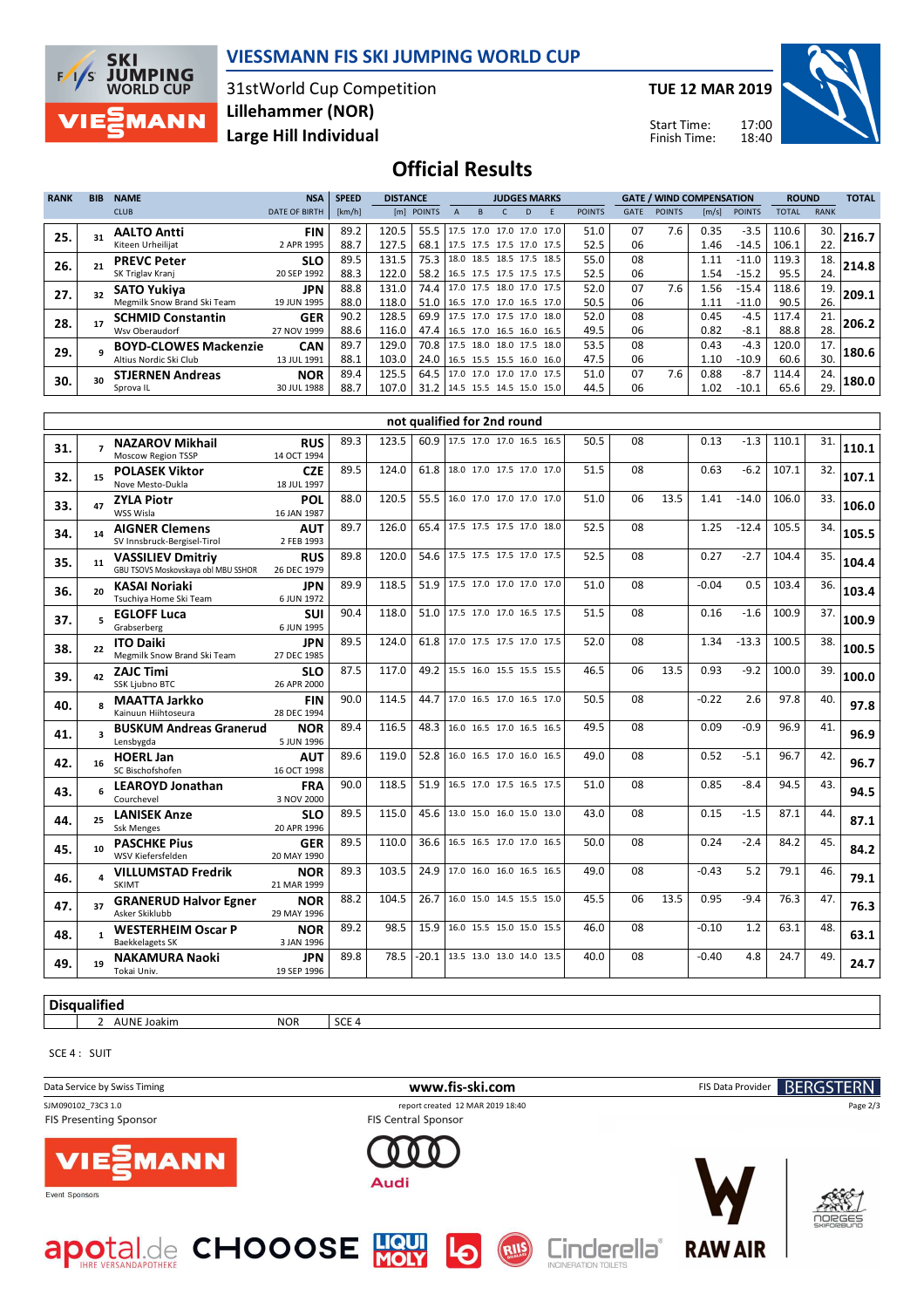

#### **VIESSMANN FIS SKI JUMPING WORLD CUP**

31stWorld Cup Competition **Large Hill Individual Lillehammer (NOR)**

**TUE 12 MAR 2019**

Start Time: Finish Time:



**Official Results**

| <b>RANK</b> | <b>BIB</b> | <b>NAME</b>                  | <b>NSA</b>           | <b>SPEED</b> | <b>DISTANCE</b> |                                 | <b>JUDGES MARKS</b> |                          |  |   |  |               |             | <b>GATE / WIND COMPENSATION</b> |                       |               | <b>ROUND</b> |             | <b>TOTAL</b> |
|-------------|------------|------------------------------|----------------------|--------------|-----------------|---------------------------------|---------------------|--------------------------|--|---|--|---------------|-------------|---------------------------------|-----------------------|---------------|--------------|-------------|--------------|
|             |            | <b>CLUB</b>                  | <b>DATE OF BIRTH</b> | [km/h]       |                 | [m] POINTS                      |                     |                          |  | D |  | <b>POINTS</b> | <b>GATE</b> | <b>POINTS</b>                   | $\lfloor m/s \rfloor$ | <b>POINTS</b> | <b>TOTAL</b> | <b>RANK</b> |              |
| 25.         |            | <b>AALTO Antti</b>           | <b>FIN</b>           | 89.2         | 120.5           | 55.5   17.5 17.0 17.0 17.0 17.0 |                     |                          |  |   |  | 51.0          | 07          | 7.6                             | 0.35                  | $-3.5$        | 110.6        | 30.         | 216.7        |
|             |            | Kiteen Urheilijat            | 2 APR 1995           | 88.7         | 127.5           | 68.1                            |                     | 17.5 17.5 17.5 17.0 17.5 |  |   |  | 52.5          | 06          |                                 | 1.46                  | $-14.5$       | 106.1        | 22.         |              |
| 26.         |            | <b>PREVC Peter</b>           | <b>SLO</b>           | 89.5         | 131.5           | 75.3                            |                     | 18.0 18.5 18.5 17.5 18.5 |  |   |  | 55.0          | 08          |                                 | 1.11                  | $-11.0$       | 119.3        | 18.         | 214.8        |
|             |            | SK Triglav Kranj             | 20 SEP 1992          | 88.3         | 122.0           | 58.2 16.5 17.5 17.5 17.5 17.5   |                     |                          |  |   |  | 52.5          | 06          |                                 | 1.54                  | $-15.2$       | 95.5         | 24.         |              |
| 27.         |            | <b>SATO Yukiva</b>           | JPN                  | 88.8         | 131.0           | 74.4 17.0 17.5 18.0 17.0 17.5   |                     |                          |  |   |  | 52.0          | 07          | 7.6                             | 1.56                  | $-15.4$       | 118.6        | 19.         | 209.1        |
|             |            | Megmilk Snow Brand Ski Team  | 19 JUN 1995          | 88.0         | 118.0           | 51.0   16.5 17.0 17.0 16.5 17.0 |                     |                          |  |   |  | 50.5          | 06          |                                 | 1.11                  | $-11.0$       | 90.5         | 26.         |              |
| 28.         |            | <b>SCHMID Constantin</b>     | <b>GER</b>           | 90.2         | 128.5           | 69.9                            |                     | 17.5 17.0 17.5 17.0 18.0 |  |   |  | 52.0          | 08          |                                 | 0.45                  | $-4.5$        | 117.4        | 21.         | 206.2        |
|             |            | Wsv Oberaudorf               | 27 NOV 1999          | 88.6         | 116.0           | 47.4 16.5 17.0 16.5 16.0 16.5   |                     |                          |  |   |  | 49.5          | 06          |                                 | 0.82                  | $-8.1$        | 88.8         | 28.         |              |
| 29.         |            | <b>BOYD-CLOWES Mackenzie</b> | <b>CAN</b>           | 89.7         | 129.0           | 70.8 17.5 18.0 18.0 17.5 18.0   |                     |                          |  |   |  | 53.5          | 08          |                                 | 0.43                  | $-4.3$        | 120.0        | 17.         | 180.6        |
|             |            | Altius Nordic Ski Club       | 13 JUL 1991          | 88.1         | 103.0           | 24.0 16.5 15.5 15.5 16.0 16.0   |                     |                          |  |   |  | 47.5          | 06          |                                 | 1.10                  | $-10.9$       | 60.6         | 30.         |              |
| 30.         | 30         | <b>STJERNEN Andreas</b>      | <b>NOR</b>           | 89.4         | 125.5           | 64.5   17.0 17.0 17.0 17.0 17.5 |                     |                          |  |   |  | 51.0          | 07          | 7.6                             | 0.88                  | $-8.7$        | 114.4        | 24.         | 180.0        |
|             |            | Sprova IL                    | 30 JUL 1988          | 88.7         | 107.0           | 31.2 14.5 15.5 14.5 15.0 15.0   |                     |                          |  |   |  | 44.5          | 06          |                                 | 1.02                  | $-10.1$       | 65.6         | 29.         |              |

|     | not qualified for 2nd round |                                                                 |                           |      |       |         |                               |  |  |      |    |      |         |         |       |     |       |
|-----|-----------------------------|-----------------------------------------------------------------|---------------------------|------|-------|---------|-------------------------------|--|--|------|----|------|---------|---------|-------|-----|-------|
| 31. | $\overline{ }$              | <b>NAZAROV Mikhail</b><br>Moscow Region TSSP                    | <b>RUS</b><br>14 OCT 1994 | 89.3 | 123.5 |         | 60.9 17.5 17.0 17.0 16.5 16.5 |  |  | 50.5 | 08 |      | 0.13    | $-1.3$  | 110.1 | 31. | 110.1 |
| 32. | 15                          | <b>POLASEK Viktor</b><br>Nove Mesto-Dukla                       | <b>CZE</b><br>18 JUL 1997 | 89.5 | 124.0 | 61.8    | 18.0 17.0 17.5 17.0 17.0      |  |  | 51.5 | 08 |      | 0.63    | $-6.2$  | 107.1 | 32. | 107.1 |
| 33. | 47                          | <b>ZYLA Piotr</b><br>WSS Wisla                                  | <b>POL</b><br>16 JAN 1987 | 88.0 | 120.5 | 55.5    | 16.0 17.0 17.0 17.0 17.0      |  |  | 51.0 | 06 | 13.5 | 1.41    | $-14.0$ | 106.0 | 33. | 106.0 |
| 34. | 14                          | <b>AIGNER Clemens</b><br>SV Innsbruck-Bergisel-Tirol            | <b>AUT</b><br>2 FEB 1993  | 89.7 | 126.0 | 65.4    | 17.5 17.5 17.5 17.0 18.0      |  |  | 52.5 | 08 |      | 1.25    | $-12.4$ | 105.5 | 34. | 105.5 |
| 35. | 11                          | <b>VASSILIEV Dmitriy</b><br>GBU TSOVS Moskovskaya obl MBU SSHOR | <b>RUS</b><br>26 DEC 1979 | 89.8 | 120.0 | 54.6    | 17.5 17.5 17.5 17.0 17.5      |  |  | 52.5 | 08 |      | 0.27    | $-2.7$  | 104.4 | 35. | 104.4 |
| 36. | 20                          | <b>KASAI Noriaki</b><br>Tsuchiva Home Ski Team                  | <b>JPN</b><br>6 JUN 1972  | 89.9 | 118.5 | 51.9    | 17.5 17.0 17.0 17.0 17.0      |  |  | 51.0 | 08 |      | $-0.04$ | 0.5     | 103.4 | 36. | 103.4 |
| 37. | 5.                          | <b>EGLOFF Luca</b><br>Grabserberg                               | <b>SUI</b><br>6 JUN 1995  | 90.4 | 118.0 | 51.0    | 17.5 17.0 17.0 16.5 17.5      |  |  | 51.5 | 08 |      | 0.16    | $-1.6$  | 100.9 | 37. | 100.9 |
| 38. | 22                          | <b>ITO Daiki</b><br>Megmilk Snow Brand Ski Team                 | <b>JPN</b><br>27 DEC 1985 | 89.5 | 124.0 | 61.8    | 17.0 17.5 17.5 17.0 17.5      |  |  | 52.0 | 08 |      | 1.34    | $-13.3$ | 100.5 | 38. | 100.5 |
| 39. | 42                          | <b>ZAJC Timi</b><br>SSK Ljubno BTC                              | <b>SLO</b><br>26 APR 2000 | 87.5 | 117.0 |         | 49.2 15.5 16.0 15.5 15.5 15.5 |  |  | 46.5 | 06 | 13.5 | 0.93    | $-9.2$  | 100.0 | 39. | 100.0 |
| 40. | $\mathbf{R}$                | <b>MAATTA Jarkko</b><br>Kainuun Hiihtoseura                     | <b>FIN</b><br>28 DEC 1994 | 90.0 | 114.5 | 44.7    | 17.0 16.5 17.0 16.5 17.0      |  |  | 50.5 | 08 |      | $-0.22$ | 2.6     | 97.8  | 40. | 97.8  |
| 41. | $\overline{\mathbf{a}}$     | <b>BUSKUM Andreas Granerud</b><br>Lensbygda                     | <b>NOR</b><br>5 JUN 1996  | 89.4 | 116.5 | 48.3    | 16.0 16.5 17.0 16.5 16.5      |  |  | 49.5 | 08 |      | 0.09    | -0.9    | 96.9  | 41. | 96.9  |
| 42. | 16                          | <b>HOERL Jan</b><br>SC Bischofshofen                            | <b>AUT</b><br>16 OCT 1998 | 89.6 | 119.0 | 52.8    | 16.0 16.5 17.0 16.0 16.5      |  |  | 49.0 | 08 |      | 0.52    | $-5.1$  | 96.7  | 42. | 96.7  |
| 43. | 6                           | <b>LEAROYD Jonathan</b><br>Courchevel                           | <b>FRA</b><br>3 NOV 2000  | 90.0 | 118.5 | 51.9    | 16.5 17.0 17.5 16.5 17.5      |  |  | 51.0 | 08 |      | 0.85    | $-8.4$  | 94.5  | 43. | 94.5  |
| 44. | 25                          | <b>LANISEK Anze</b><br><b>Ssk Menges</b>                        | <b>SLO</b><br>20 APR 1996 | 89.5 | 115.0 | 45.6    | 13.0 15.0 16.0 15.0 13.0      |  |  | 43.0 | 08 |      | 0.15    | $-1.5$  | 87.1  | 44. | 87.1  |
| 45. | 10                          | <b>PASCHKE Pius</b><br>WSV Kiefersfelden                        | <b>GER</b><br>20 MAY 1990 | 89.5 | 110.0 | 36.6    | 16.5 16.5 17.0 17.0 16.5      |  |  | 50.0 | 08 |      | 0.24    | $-2.4$  | 84.2  | 45. | 84.2  |
| 46. |                             | <b>VILLUMSTAD Fredrik</b><br><b>SKIMT</b>                       | <b>NOR</b><br>21 MAR 1999 | 89.3 | 103.5 | 24.9    | 17.0 16.0 16.0 16.5 16.5      |  |  | 49.0 | 08 |      | $-0.43$ | 5.2     | 79.1  | 46. | 79.1  |
| 47. | 37                          | <b>GRANERUD Halvor Egner</b><br>Asker Skiklubb                  | <b>NOR</b><br>29 MAY 1996 | 88.2 | 104.5 | 26.7    | 16.0 15.0 14.5 15.5 15.0      |  |  | 45.5 | 06 | 13.5 | 0.95    | $-9.4$  | 76.3  | 47. | 76.3  |
| 48. |                             | <b>WESTERHEIM Oscar P</b><br><b>Baekkelagets SK</b>             | <b>NOR</b><br>3 JAN 1996  | 89.2 | 98.5  | 15.9    | 16.0 15.5 15.0 15.0 15.5      |  |  | 46.0 | 08 |      | $-0.10$ | 1.2     | 63.1  | 48. | 63.1  |
| 49. | 19                          | <b>NAKAMURA Naoki</b><br>Tokai Univ.                            | <b>JPN</b><br>19 SEP 1996 | 89.8 | 78.5  | $-20.1$ | 13.5 13.0 13.0 14.0 13.5      |  |  | 40.0 | 08 |      | $-0.40$ | 4.8     | 24.7  | 49. | 24.7  |

**Disqualified**

**2** AUNE Joakim NOR SCE 4

SCE 4 : SUIT

Data Service by Swiss Timing **WWW.Fis-Ski.com www.fis-ski.com** FIS Data Provider **BERGSTERN** SJM090102\_73C3 1.0 report created 12 MAR 2019 18:40 Page 2/3FIS Central Sponsor FIS Presenting Sponsor **AANN** Audi Event Sponsors

RIIS